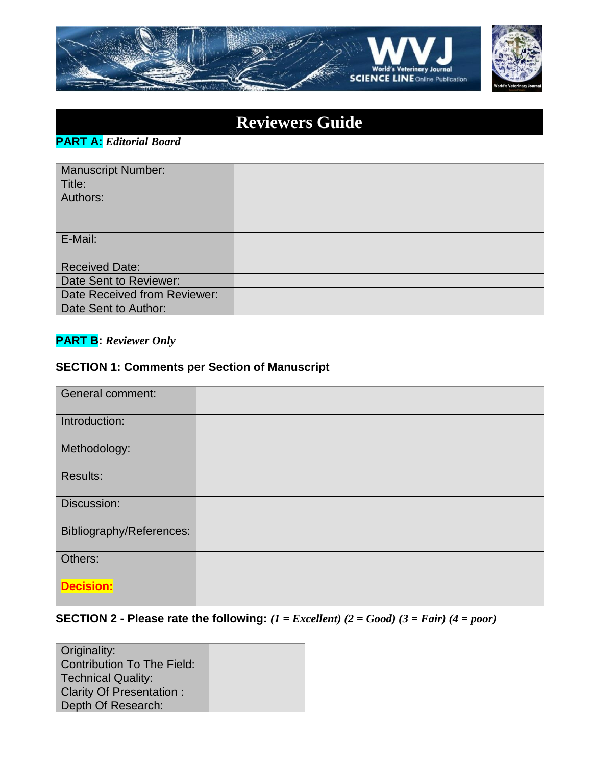

| <b>Reviewers Guide</b> |  |
|------------------------|--|
|                        |  |

**PART A:** *Editorial Board*

| <b>Manuscript Number:</b>    |  |
|------------------------------|--|
| Title:                       |  |
| Authors:                     |  |
|                              |  |
|                              |  |
| E-Mail:                      |  |
|                              |  |
| <b>Received Date:</b>        |  |
| Date Sent to Reviewer:       |  |
| Date Received from Reviewer: |  |
| Date Sent to Author:         |  |

# **PART B:** *Reviewer Only*

## **SECTION 1: Comments per Section of Manuscript**

| <b>General comment:</b>  |  |
|--------------------------|--|
| Introduction:            |  |
| Methodology:             |  |
| Results:                 |  |
| Discussion:              |  |
| Bibliography/References: |  |
| Others:                  |  |
| <b>Decision:</b>         |  |

# **SECTION 2 - Please rate the following:** *(1 = Excellent) (2 = Good) (3 = Fair) (4 = poor)*

| Originality:                      |  |
|-----------------------------------|--|
| <b>Contribution To The Field:</b> |  |
| <b>Technical Quality:</b>         |  |
| <b>Clarity Of Presentation:</b>   |  |
| Depth Of Research:                |  |